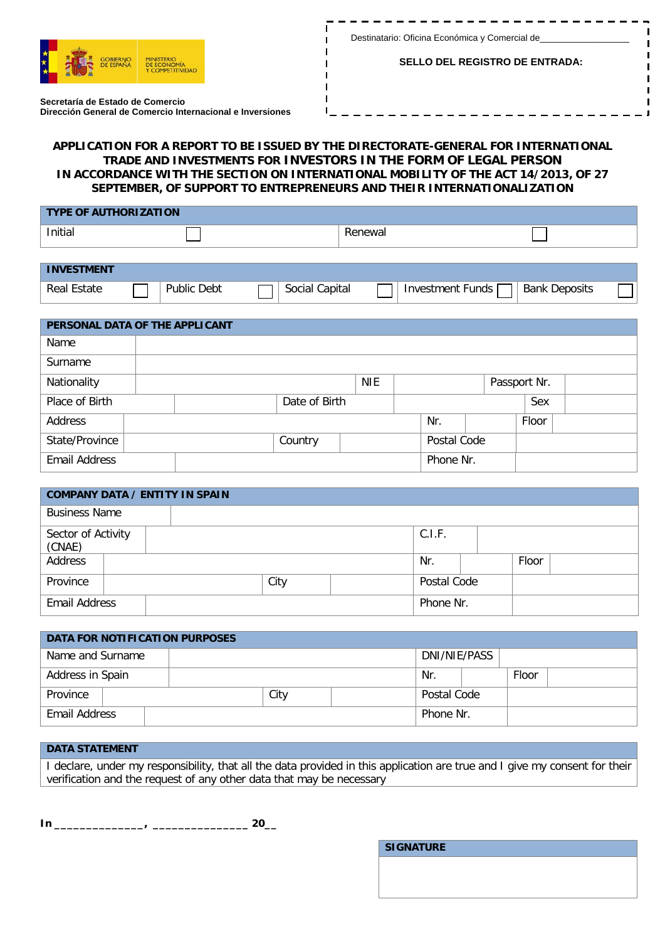

---------

**SELLO DEL REGISTRO DE ENTRADA:**

п

**Secretaría de Estado de Comercio Dirección General de Comercio Internacional e Inversiones**

## **APPLICATION FOR A REPORT TO BE ISSUED BY THE DIRECTORATE-GENERAL FOR INTERNATIONAL TRADE AND INVESTMENTS FOR INVESTORS IN THE FORM OF LEGAL PERSON IN ACCORDANCE WITH THE SECTION ON INTERNATIONAL MOBILITY OF THE ACT 14/2013, OF 27 SEPTEMBER, OF SUPPORT TO ENTREPRENEURS AND THEIR INTERNATIONALIZATION**

п

п

| <b>TYPE OF AUTHORIZATION</b> |  |        |  |  |  |  |  |
|------------------------------|--|--------|--|--|--|--|--|
| Initial                      |  | enewar |  |  |  |  |  |

| <b>INVESTMENT</b> |                |                   |                     |                      |  |
|-------------------|----------------|-------------------|---------------------|----------------------|--|
| Estate<br>Real    | Debt<br>Public | Capital<br>Social | Funds<br>Investment | <b>Bank Deposits</b> |  |

| PERSONAL DATA OF THE APPLICANT |  |  |               |            |  |             |  |              |  |
|--------------------------------|--|--|---------------|------------|--|-------------|--|--------------|--|
| Name                           |  |  |               |            |  |             |  |              |  |
| Surname                        |  |  |               |            |  |             |  |              |  |
| Nationality                    |  |  |               | <b>NIE</b> |  |             |  | Passport Nr. |  |
| Place of Birth                 |  |  | Date of Birth |            |  |             |  | Sex          |  |
| Address                        |  |  |               |            |  | Nr.         |  | Floor        |  |
| State/Province                 |  |  | Country       |            |  | Postal Code |  |              |  |
| <b>Email Address</b>           |  |  |               |            |  | Phone Nr.   |  |              |  |

| <b>COMPANY DATA / ENTITY IN SPAIN</b> |                    |  |  |           |  |             |  |       |  |
|---------------------------------------|--------------------|--|--|-----------|--|-------------|--|-------|--|
| <b>Business Name</b>                  |                    |  |  |           |  |             |  |       |  |
| (CNAE)                                | Sector of Activity |  |  |           |  | C.I.F.      |  |       |  |
| Address                               |                    |  |  |           |  | Nr.         |  | Floor |  |
| Province                              |                    |  |  | City      |  | Postal Code |  |       |  |
| <b>Email Address</b>                  |                    |  |  | Phone Nr. |  |             |  |       |  |

| DATA FOR NOTIFICATION PURPOSES |  |  |  |              |           |             |  |  |  |
|--------------------------------|--|--|--|--------------|-----------|-------------|--|--|--|
| Name and Surname               |  |  |  | DNI/NIE/PASS |           |             |  |  |  |
| Address in Spain               |  |  |  | Nr.          |           | Floor       |  |  |  |
| Province                       |  |  |  | City         |           | Postal Code |  |  |  |
| Email Address                  |  |  |  |              | Phone Nr. |             |  |  |  |

## **DATA STATEMENT**

I declare, under my responsibility, that all the data provided in this application are true and I give my consent for their verification and the request of any other data that may be necessary

**S** 

**In \_\_\_\_\_\_\_\_\_\_\_\_\_\_, \_\_\_\_\_\_\_\_\_\_\_\_\_\_\_ 20\_\_**

| <b>IGNATURE</b> |  |  |
|-----------------|--|--|
|                 |  |  |
|                 |  |  |
|                 |  |  |